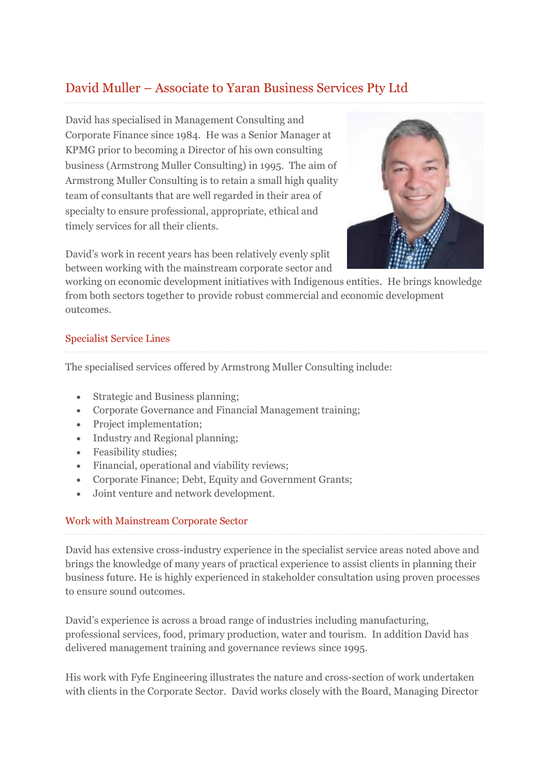# David Muller – Associate to Yaran Business Services Pty Ltd

David has specialised in Management Consulting and Corporate Finance since 1984. He was a Senior Manager at KPMG prior to becoming a Director of his own consulting business (Armstrong Muller Consulting) in 1995. The aim of Armstrong Muller Consulting is to retain a small high quality team of consultants that are well regarded in their area of specialty to ensure professional, appropriate, ethical and timely services for all their clients.

David's work in recent years has been relatively evenly split between working with the mainstream corporate sector and



### Specialist Service Lines

The specialised services offered by Armstrong Muller Consulting include:

- Strategic and Business planning;
- Corporate Governance and Financial Management training;
- Project implementation;
- Industry and Regional planning;
- Feasibility studies;
- Financial, operational and viability reviews;
- Corporate Finance; Debt, Equity and Government Grants;
- Joint venture and network development.

#### Work with Mainstream Corporate Sector

David has extensive cross-industry experience in the specialist service areas noted above and brings the knowledge of many years of practical experience to assist clients in planning their business future. He is highly experienced in stakeholder consultation using proven processes to ensure sound outcomes.

David's experience is across a broad range of industries including manufacturing, professional services, food, primary production, water and tourism. In addition David has delivered management training and governance reviews since 1995.

His work with Fyfe Engineering illustrates the nature and cross-section of work undertaken with clients in the Corporate Sector. David works closely with the Board, Managing Director

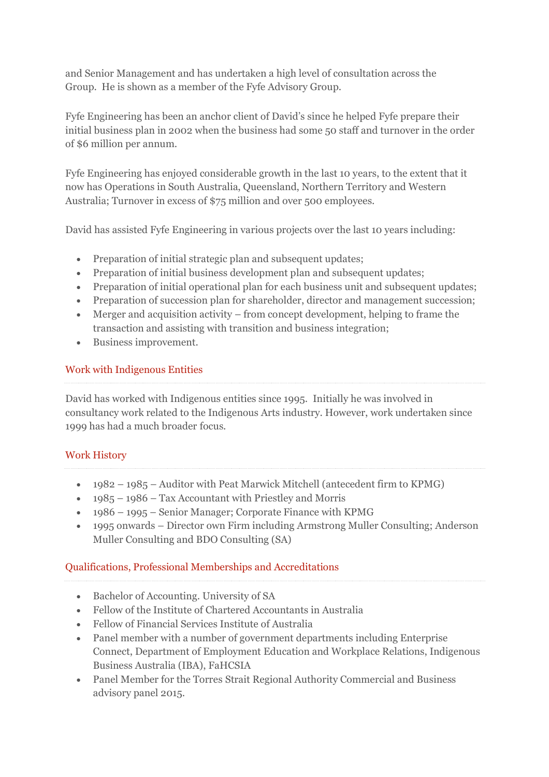and Senior Management and has undertaken a high level of consultation across the Group. He is shown as a member of the Fyfe Advisory Group.

Fyfe Engineering has been an anchor client of David's since he helped Fyfe prepare their initial business plan in 2002 when the business had some 50 staff and turnover in the order of \$6 million per annum.

Fyfe Engineering has enjoyed considerable growth in the last 10 years, to the extent that it now has Operations in South Australia, Queensland, Northern Territory and Western Australia; Turnover in excess of \$75 million and over 500 employees.

David has assisted Fyfe Engineering in various projects over the last 10 years including:

- Preparation of initial strategic plan and subsequent updates:
- Preparation of initial business development plan and subsequent updates;
- Preparation of initial operational plan for each business unit and subsequent updates;
- Preparation of succession plan for shareholder, director and management succession;
- Merger and acquisition activity from concept development, helping to frame the transaction and assisting with transition and business integration;
- Business improvement.

# Work with Indigenous Entities

David has worked with Indigenous entities since 1995. Initially he was involved in consultancy work related to the Indigenous Arts industry. However, work undertaken since 1999 has had a much broader focus.

## Work History

- 1982 1985 Auditor with Peat Marwick Mitchell (antecedent firm to KPMG)
- $\cdot$  1985 1986 Tax Accountant with Priestley and Morris
- 1986 1995 Senior Manager; Corporate Finance with KPMG
- 1995 onwards Director own Firm including Armstrong Muller Consulting; Anderson Muller Consulting and BDO Consulting (SA)

## Qualifications, Professional Memberships and Accreditations

- Bachelor of Accounting. University of SA
- Fellow of the Institute of Chartered Accountants in Australia
- Fellow of Financial Services Institute of Australia
- Panel member with a number of government departments including Enterprise Connect, Department of Employment Education and Workplace Relations, Indigenous Business Australia (IBA), FaHCSIA
- Panel Member for the Torres Strait Regional Authority Commercial and Business advisory panel 2015.